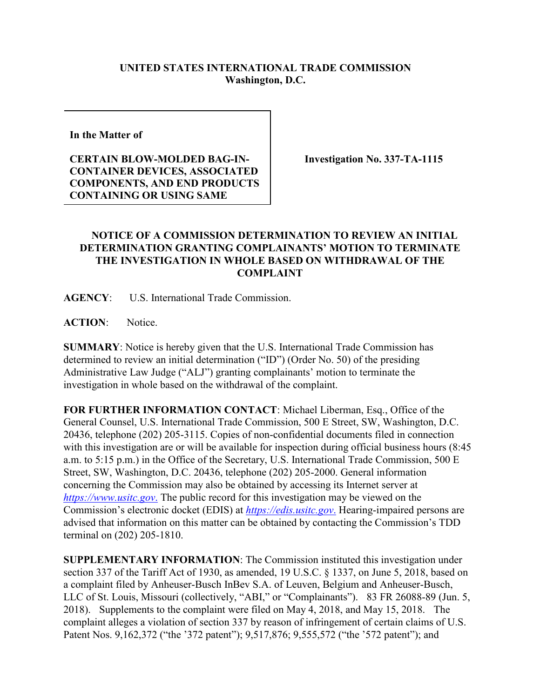## **UNITED STATES INTERNATIONAL TRADE COMMISSION Washington, D.C.**

**In the Matter of** 

## **CERTAIN BLOW-MOLDED BAG-IN-CONTAINER DEVICES, ASSOCIATED COMPONENTS, AND END PRODUCTS CONTAINING OR USING SAME**

**Investigation No. 337-TA-1115**

## **NOTICE OF A COMMISSION DETERMINATION TO REVIEW AN INITIAL DETERMINATION GRANTING COMPLAINANTS' MOTION TO TERMINATE THE INVESTIGATION IN WHOLE BASED ON WITHDRAWAL OF THE COMPLAINT**

**AGENCY**: U.S. International Trade Commission.

**ACTION**: Notice.

**SUMMARY**: Notice is hereby given that the U.S. International Trade Commission has determined to review an initial determination ("ID") (Order No. 50) of the presiding Administrative Law Judge ("ALJ") granting complainants' motion to terminate the investigation in whole based on the withdrawal of the complaint.

**FOR FURTHER INFORMATION CONTACT**: Michael Liberman, Esq., Office of the General Counsel, U.S. International Trade Commission, 500 E Street, SW, Washington, D.C. 20436, telephone (202) 205-3115. Copies of non-confidential documents filed in connection with this investigation are or will be available for inspection during official business hours (8:45) a.m. to 5:15 p.m.) in the Office of the Secretary, U.S. International Trade Commission, 500 E Street, SW, Washington, D.C. 20436, telephone (202) 205-2000. General information concerning the Commission may also be obtained by accessing its Internet server at *[https://www.usitc.gov](https://www.usitc.gov./)*. The public record for this investigation may be viewed on the Commission's electronic docket (EDIS) at *[https://edis.usitc.gov](https://edis.usitc.gov./)*. Hearing-impaired persons are advised that information on this matter can be obtained by contacting the Commission's TDD terminal on (202) 205-1810.

**SUPPLEMENTARY INFORMATION**: The Commission instituted this investigation under section 337 of the Tariff Act of 1930, as amended, 19 U.S.C. § 1337, on June 5, 2018, based on a complaint filed by Anheuser-Busch InBev S.A. of Leuven, Belgium and Anheuser-Busch, LLC of St. Louis, Missouri (collectively, "ABI," or "Complainants"). 83 FR 26088-89 (Jun. 5, 2018). Supplements to the complaint were filed on May 4, 2018, and May 15, 2018. The complaint alleges a violation of section 337 by reason of infringement of certain claims of U.S. Patent Nos. 9,162,372 ("the '372 patent"); 9,517,876; 9,555,572 ("the '572 patent"); and